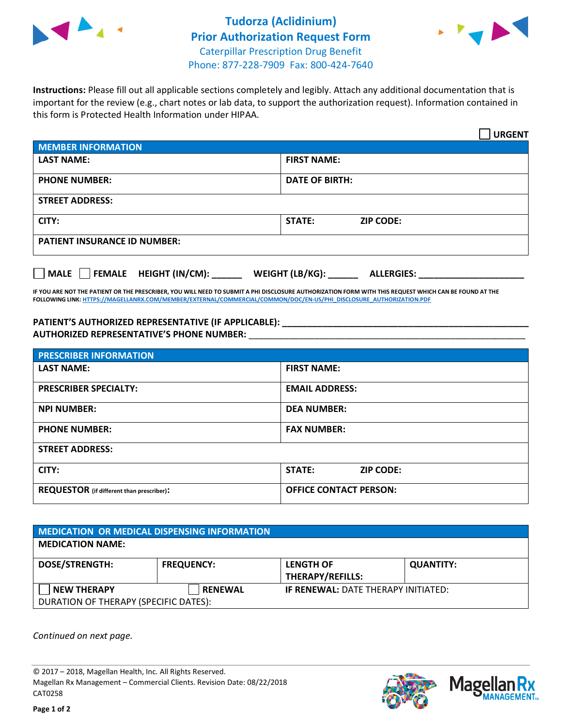



**Instructions:** Please fill out all applicable sections completely and legibly. Attach any additional documentation that is important for the review (e.g., chart notes or lab data, to support the authorization request). Information contained in this form is Protected Health Information under HIPAA.

|                                       | <b>URGENT</b>                        |  |  |  |
|---------------------------------------|--------------------------------------|--|--|--|
| <b>MEMBER INFORMATION</b>             |                                      |  |  |  |
| <b>LAST NAME:</b>                     | <b>FIRST NAME:</b>                   |  |  |  |
| <b>PHONE NUMBER:</b>                  | <b>DATE OF BIRTH:</b>                |  |  |  |
| <b>STREET ADDRESS:</b>                |                                      |  |  |  |
| CITY:                                 | <b>ZIP CODE:</b><br><b>STATE:</b>    |  |  |  |
| <b>PATIENT INSURANCE ID NUMBER:</b>   |                                      |  |  |  |
| FEMALE HEIGHT (IN/CM):<br><b>MALE</b> | WEIGHT (LB/KG):<br><b>ALLERGIES:</b> |  |  |  |

**IF YOU ARE NOT THE PATIENT OR THE PRESCRIBER, YOU WILL NEED TO SUBMIT A PHI DISCLOSURE AUTHORIZATION FORM WITH THIS REQUEST WHICH CAN BE FOUND AT THE FOLLOWING LINK[: HTTPS://MAGELLANRX.COM/MEMBER/EXTERNAL/COMMERCIAL/COMMON/DOC/EN-US/PHI\\_DISCLOSURE\\_AUTHORIZATION.PDF](https://magellanrx.com/member/external/commercial/common/doc/en-us/PHI_Disclosure_Authorization.pdf)**

**PATIENT'S AUTHORIZED REPRESENTATIVE (IF APPLICABLE): \_\_\_\_\_\_\_\_\_\_\_\_\_\_\_\_\_\_\_\_\_\_\_\_\_\_\_\_\_\_\_\_\_\_\_\_\_\_\_\_\_\_\_\_\_\_\_\_\_ AUTHORIZED REPRESENTATIVE'S PHONE NUMBER:** \_\_\_\_\_\_\_\_\_\_\_\_\_\_\_\_\_\_\_\_\_\_\_\_\_\_\_\_\_\_\_\_\_\_\_\_\_\_\_\_\_\_\_\_\_\_\_\_\_\_\_\_\_\_\_

| <b>PRESCRIBER INFORMATION</b>             |                               |  |  |  |
|-------------------------------------------|-------------------------------|--|--|--|
| <b>LAST NAME:</b>                         | <b>FIRST NAME:</b>            |  |  |  |
| <b>PRESCRIBER SPECIALTY:</b>              | <b>EMAIL ADDRESS:</b>         |  |  |  |
| <b>NPI NUMBER:</b>                        | <b>DEA NUMBER:</b>            |  |  |  |
| <b>PHONE NUMBER:</b>                      | <b>FAX NUMBER:</b>            |  |  |  |
| <b>STREET ADDRESS:</b>                    |                               |  |  |  |
| CITY:                                     | STATE:<br><b>ZIP CODE:</b>    |  |  |  |
| REQUESTOR (if different than prescriber): | <b>OFFICE CONTACT PERSON:</b> |  |  |  |

| <b>MEDICATION OR MEDICAL DISPENSING INFORMATION</b> |                   |                                            |                  |  |  |
|-----------------------------------------------------|-------------------|--------------------------------------------|------------------|--|--|
| <b>MEDICATION NAME:</b>                             |                   |                                            |                  |  |  |
| <b>DOSE/STRENGTH:</b>                               | <b>FREQUENCY:</b> | <b>LENGTH OF</b>                           | <b>QUANTITY:</b> |  |  |
|                                                     |                   | <b>THERAPY/REFILLS:</b>                    |                  |  |  |
| <b>NEW THERAPY</b>                                  | <b>RENEWAL</b>    | <b>IF RENEWAL: DATE THERAPY INITIATED:</b> |                  |  |  |
| DURATION OF THERAPY (SPECIFIC DATES):               |                   |                                            |                  |  |  |

*Continued on next page.*

© 2017 – 2018, Magellan Health, Inc. All Rights Reserved. Magellan Rx Management – Commercial Clients. Revision Date: 08/22/2018 CAT0258